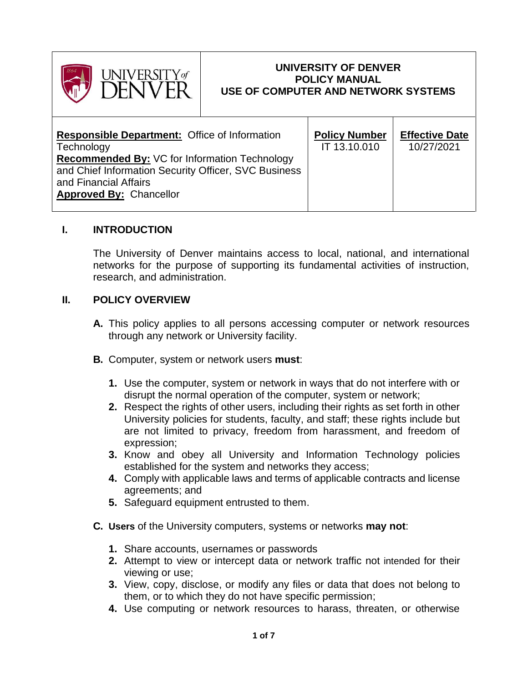

#### **UNIVERSITY OF DENVER POLICY MANUAL USE OF COMPUTER AND NETWORK SYSTEMS**

| <b>Responsible Department:</b> Office of Information<br>Technology<br><b>Recommended By: VC for Information Technology</b><br>and Chief Information Security Officer, SVC Business | <b>Policy Number</b><br>IT 13.10.010 | <b>Effective Date</b><br>10/27/2021 |
|------------------------------------------------------------------------------------------------------------------------------------------------------------------------------------|--------------------------------------|-------------------------------------|
| and Financial Affairs<br><b>Approved By: Chancellor</b>                                                                                                                            |                                      |                                     |
|                                                                                                                                                                                    |                                      |                                     |

#### **I. INTRODUCTION**

The University of Denver maintains access to local, national, and international networks for the purpose of supporting its fundamental activities of instruction, research, and administration.

### **II. POLICY OVERVIEW**

- **A.** This policy applies to all persons accessing computer or network resources through any network or University facility.
- **B.** Computer, system or network users **must**:
	- **1.** Use the computer, system or network in ways that do not interfere with or disrupt the normal operation of the computer, system or network;
	- **2.** Respect the rights of other users, including their rights as set forth in other University policies for students, faculty, and staff; these rights include but are not limited to privacy, freedom from harassment, and freedom of expression;
	- **3.** Know and obey all University and Information Technology policies established for the system and networks they access;
	- **4.** Comply with applicable laws and terms of applicable contracts and license agreements; and
	- **5.** Safeguard equipment entrusted to them.
- **C. Users** of the University computers, systems or networks **may not**:
	- **1.** Share accounts, usernames or passwords
	- **2.** Attempt to view or intercept data or network traffic not intended for their viewing or use;
	- **3.** View, copy, disclose, or modify any files or data that does not belong to them, or to which they do not have specific permission;
	- **4.** Use computing or network resources to harass, threaten, or otherwise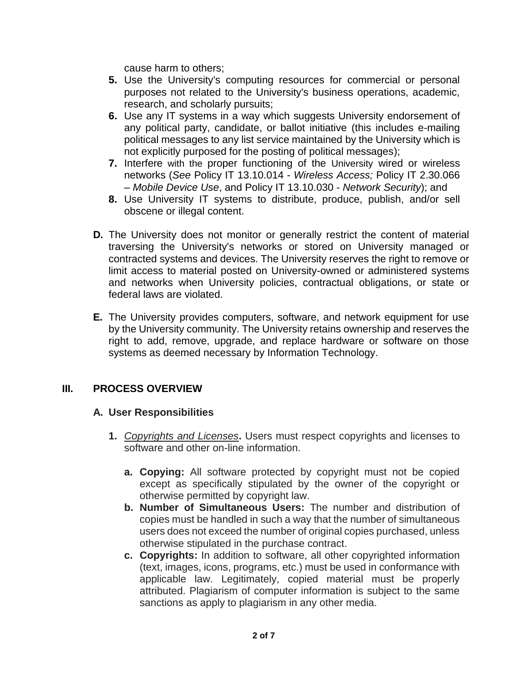cause harm to others;

- **5.** Use the University's computing resources for commercial or personal purposes not related to the University's business operations, academic, research, and scholarly pursuits;
- **6.** Use any IT systems in a way which suggests University endorsement of any political party, candidate, or ballot initiative (this includes e-mailing political messages to any list service maintained by the University which is not explicitly purposed for the posting of political messages);
- **7.** Interfere with the proper functioning of the University wired or wireless networks (*See* Policy IT 13.10.014 - *Wireless Access;* Policy IT 2.30.066 *– Mobile Device Use*, and Policy IT 13.10.030 - *Network Security*); and
- **8.** Use University IT systems to distribute, produce, publish, and/or sell obscene or illegal content.
- **D.** The University does not monitor or generally restrict the content of material traversing the University's networks or stored on University managed or contracted systems and devices. The University reserves the right to remove or limit access to material posted on University-owned or administered systems and networks when University policies, contractual obligations, or state or federal laws are violated.
- **E.** The University provides computers, software, and network equipment for use by the University community. The University retains ownership and reserves the right to add, remove, upgrade, and replace hardware or software on those systems as deemed necessary by Information Technology.

# **III. PROCESS OVERVIEW**

#### **A. User Responsibilities**

- **1.** *Copyrights and Licenses***.** Users must respect copyrights and licenses to software and other on-line information.
	- **a. Copying:** All software protected by copyright must not be copied except as specifically stipulated by the owner of the copyright or otherwise permitted by copyright law.
	- **b. Number of Simultaneous Users:** The number and distribution of copies must be handled in such a way that the number of simultaneous users does not exceed the number of original copies purchased, unless otherwise stipulated in the purchase contract.
	- **c. Copyrights:** In addition to software, all other copyrighted information (text, images, icons, programs, etc.) must be used in conformance with applicable law. Legitimately, copied material must be properly attributed. Plagiarism of computer information is subject to the same sanctions as apply to plagiarism in any other media.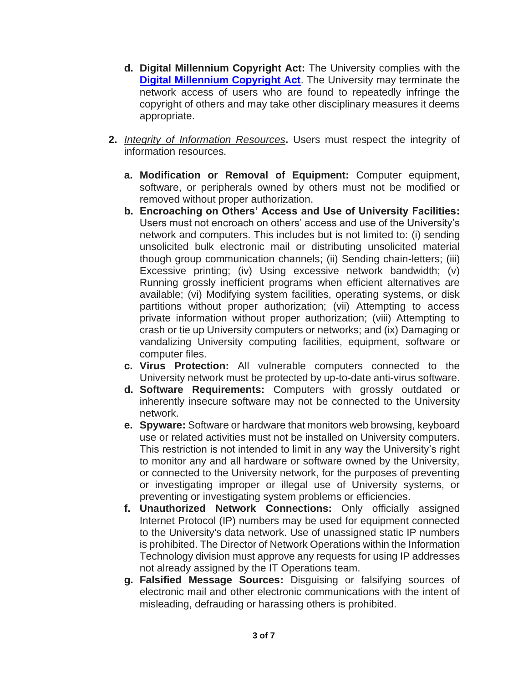- **d. Digital Millennium Copyright Act:** The University complies with the **[Digital Millennium Copyright Act](https://www.copyright.gov/legislation/dmca.pdf).** The University may terminate the network access of users who are found to repeatedly infringe the copyright of others and may take other disciplinary measures it deems appropriate.
- **2.** *Integrity of Information Resources***.** Users must respect the integrity of information resources.
	- **a. Modification or Removal of Equipment:** Computer equipment, software, or peripherals owned by others must not be modified or removed without proper authorization.
	- **b. Encroaching on Others' Access and Use of University Facilities:**  Users must not encroach on others' access and use of the University's network and computers. This includes but is not limited to: (i) sending unsolicited bulk electronic mail or distributing unsolicited material though group communication channels; (ii) Sending chain-letters; (iii) Excessive printing; (iv) Using excessive network bandwidth; (v) Running grossly inefficient programs when efficient alternatives are available; (vi) Modifying system facilities, operating systems, or disk partitions without proper authorization; (vii) Attempting to access private information without proper authorization; (viii) Attempting to crash or tie up University computers or networks; and (ix) Damaging or vandalizing University computing facilities, equipment, software or computer files.
	- **c. Virus Protection:** All vulnerable computers connected to the University network must be protected by up-to-date anti-virus software.
	- **d. Software Requirements:** Computers with grossly outdated or inherently insecure software may not be connected to the University network.
	- **e. Spyware:** Software or hardware that monitors web browsing, keyboard use or related activities must not be installed on University computers. This restriction is not intended to limit in any way the University's right to monitor any and all hardware or software owned by the University, or connected to the University network, for the purposes of preventing or investigating improper or illegal use of University systems, or preventing or investigating system problems or efficiencies.
	- **f. Unauthorized Network Connections:** Only officially assigned Internet Protocol (IP) numbers may be used for equipment connected to the University's data network. Use of unassigned static IP numbers is prohibited. The Director of Network Operations within the Information Technology division must approve any requests for using IP addresses not already assigned by the IT Operations team.
	- **g. Falsified Message Sources:** Disguising or falsifying sources of electronic mail and other electronic communications with the intent of misleading, defrauding or harassing others is prohibited.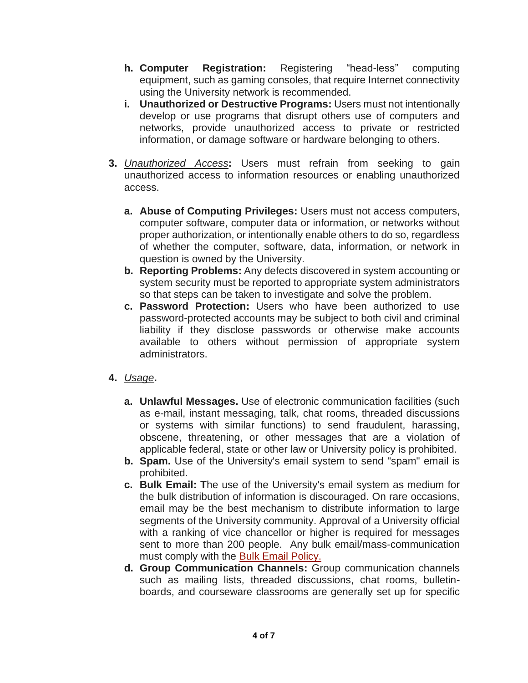- **h. Computer Registration:** Registering "head-less" computing equipment, such as gaming consoles, that require Internet connectivity using the University network is recommended.
- **i.** Unauthorized or Destructive Programs: Users must not intentionally develop or use programs that disrupt others use of computers and networks, provide unauthorized access to private or restricted information, or damage software or hardware belonging to others.
- **3.** *Unauthorized Access***:** Users must refrain from seeking to gain unauthorized access to information resources or enabling unauthorized access.
	- **a. Abuse of Computing Privileges:** Users must not access computers, computer software, computer data or information, or networks without proper authorization, or intentionally enable others to do so, regardless of whether the computer, software, data, information, or network in question is owned by the University.
	- **b. Reporting Problems:** Any defects discovered in system accounting or system security must be reported to appropriate system administrators so that steps can be taken to investigate and solve the problem.
	- **c. Password Protection:** Users who have been authorized to use password-protected accounts may be subject to both civil and criminal liability if they disclose passwords or otherwise make accounts available to others without permission of appropriate system administrators.
- **4.** *Usage***.** 
	- **a. Unlawful Messages.** Use of electronic communication facilities (such as e-mail, instant messaging, talk, chat rooms, threaded discussions or systems with similar functions) to send fraudulent, harassing, obscene, threatening, or other messages that are a violation of applicable federal, state or other law or University policy is prohibited.
	- **b. Spam.** Use of the University's email system to send "spam" email is prohibited.
	- **c. Bulk Email: T**he use of the University's email system as medium for the bulk distribution of information is discouraged. On rare occasions, email may be the best mechanism to distribute information to large segments of the University community. Approval of a University official with a ranking of vice chancellor or higher is required for messages sent to more than 200 people. Any bulk email/mass-communication must comply with the [Bulk Email Policy.](https://www.du.edu/it/about/it-policies/bulk-email)
	- **d. Group Communication Channels:** Group communication channels such as mailing lists, threaded discussions, chat rooms, bulletinboards, and courseware classrooms are generally set up for specific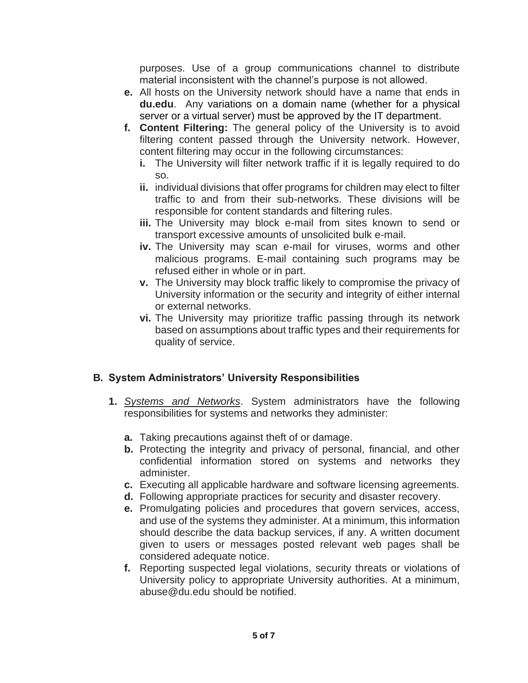purposes. Use of a group communications channel to distribute material inconsistent with the channel's purpose is not allowed.

- **e.** All hosts on the University network should have a name that ends in **du.edu**. Any variations on a domain name (whether for a physical server or a virtual server) must be approved by the IT department.
- **f. Content Filtering:** The general policy of the University is to avoid filtering content passed through the University network. However, content filtering may occur in the following circumstances:
	- **i.** The University will filter network traffic if it is legally required to do so.
	- **ii.** individual divisions that offer programs for children may elect to filter traffic to and from their sub-networks. These divisions will be responsible for content standards and filtering rules.
	- **iii.** The University may block e-mail from sites known to send or transport excessive amounts of unsolicited bulk e-mail.
	- **iv.** The University may scan e-mail for viruses, worms and other malicious programs. E-mail containing such programs may be refused either in whole or in part.
	- **v.** The University may block traffic likely to compromise the privacy of University information or the security and integrity of either internal or external networks.
	- **vi.** The University may prioritize traffic passing through its network based on assumptions about traffic types and their requirements for quality of service.

# **B. System Administrators' University Responsibilities**

- **1.** *Systems and Networks*. System administrators have the following responsibilities for systems and networks they administer:
	- **a.** Taking precautions against theft of or damage.
	- **b.** Protecting the integrity and privacy of personal, financial, and other confidential information stored on systems and networks they administer.
	- **c.** Executing all applicable hardware and software licensing agreements.
	- **d.** Following appropriate practices for security and disaster recovery.
	- **e.** Promulgating policies and procedures that govern services, access, and use of the systems they administer. At a minimum, this information should describe the data backup services, if any. A written document given to users or messages posted relevant web pages shall be considered adequate notice.
	- **f.** Reporting suspected legal violations, security threats or violations of University policy to appropriate University authorities. At a minimum, abuse@du.edu should be notified.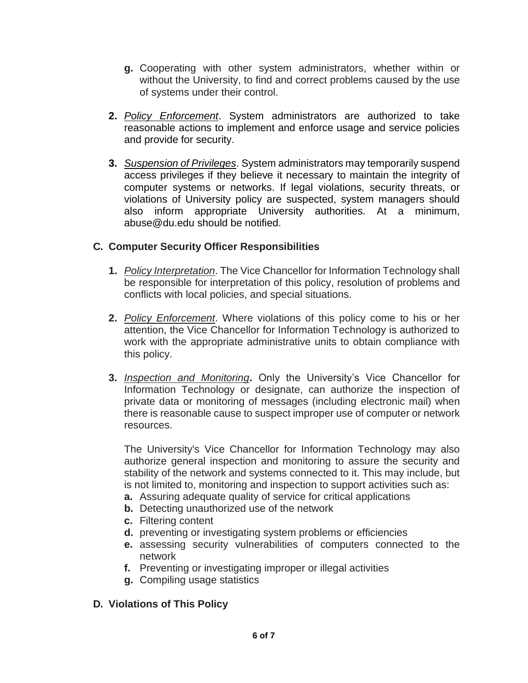- **g.** Cooperating with other system administrators, whether within or without the University, to find and correct problems caused by the use of systems under their control.
- **2.** *Policy Enforcement*. System administrators are authorized to take reasonable actions to implement and enforce usage and service policies and provide for security.
- **3.** *Suspension of Privileges*. System administrators may temporarily suspend access privileges if they believe it necessary to maintain the integrity of computer systems or networks. If legal violations, security threats, or violations of University policy are suspected, system managers should also inform appropriate University authorities. At a minimum, abuse@du.edu should be notified.

# **C. Computer Security Officer Responsibilities**

- **1.** *Policy Interpretation*. The Vice Chancellor for Information Technology shall be responsible for interpretation of this policy, resolution of problems and conflicts with local policies, and special situations.
- **2.** *Policy Enforcement*. Where violations of this policy come to his or her attention, the Vice Chancellor for Information Technology is authorized to work with the appropriate administrative units to obtain compliance with this policy.
- **3.** *Inspection and Monitoring***.** Only the University's Vice Chancellor for Information Technology or designate, can authorize the inspection of private data or monitoring of messages (including electronic mail) when there is reasonable cause to suspect improper use of computer or network resources.

The University's Vice Chancellor for Information Technology may also authorize general inspection and monitoring to assure the security and stability of the network and systems connected to it. This may include, but is not limited to, monitoring and inspection to support activities such as:

- **a.** Assuring adequate quality of service for critical applications
- **b.** Detecting unauthorized use of the network
- **c.** Filtering content
- **d.** preventing or investigating system problems or efficiencies
- **e.** assessing security vulnerabilities of computers connected to the network
- **f.** Preventing or investigating improper or illegal activities
- **g.** Compiling usage statistics

# **D. Violations of This Policy**